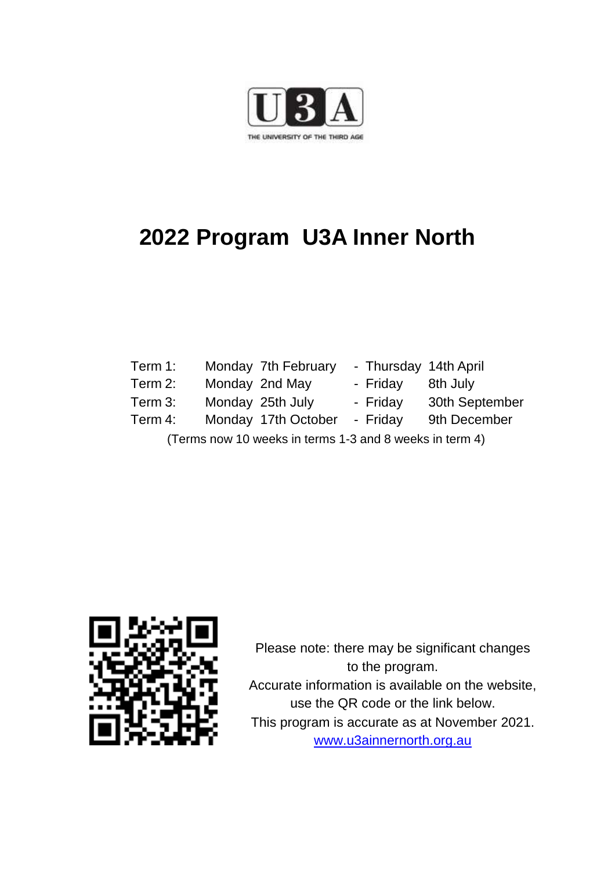

# **2022 Program U3A Inner North**

- Term 1: Monday 7th February Thursday 14th April
- Term 2: Monday 2nd May Friday 8th July
- Term 3: Monday 25th July Friday 30th September
- -
- Term 4: Monday 17th October Friday 9th December
	- (Terms now 10 weeks in terms 1-3 and 8 weeks in term 4)



Please note: there may be significant changes to the program. Accurate information is available on the website, use the QR code or the link below. This program is accurate as at November 2021. [www.u3ainnernorth.org.au](http://www.u3ainnernorth.org.au/)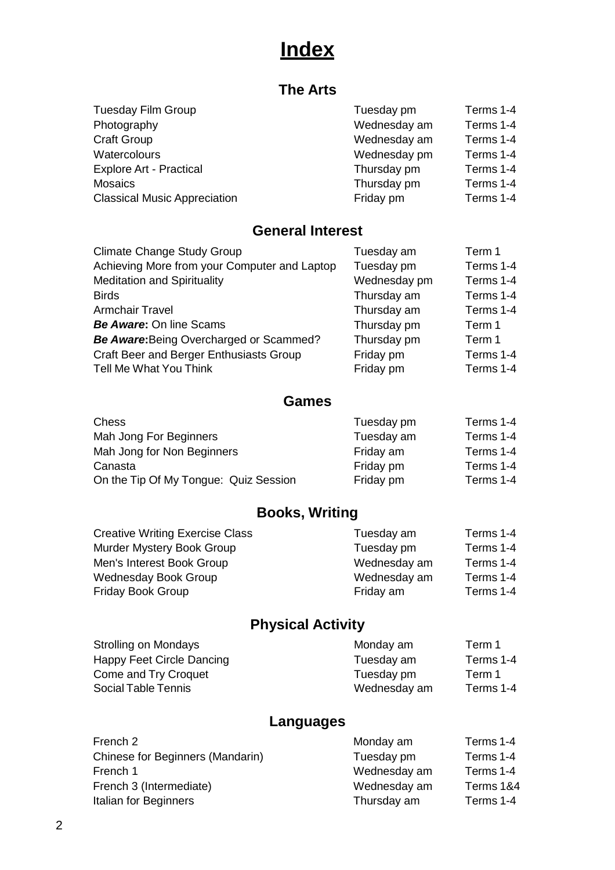# **Index**

## **The Arts**

|              | Terms 1-4  |
|--------------|------------|
| Wednesday am | Terms 1-4  |
| Wednesday am | Terms 1-4  |
| Wednesday pm | Terms 1-4  |
| Thursday pm  | Terms 1-4  |
| Thursday pm  | Terms 1-4  |
| Friday pm    | Terms 1-4  |
|              | Tuesday pm |

### **General Interest**

| Tuesday am   | Term 1    |
|--------------|-----------|
| Tuesday pm   | Terms 1-4 |
| Wednesday pm | Terms 1-4 |
| Thursday am  | Terms 1-4 |
| Thursday am  | Terms 1-4 |
| Thursday pm  | Term 1    |
| Thursday pm  | Term 1    |
| Friday pm    | Terms 1-4 |
| Friday pm    | Terms 1-4 |
|              |           |

### **Games**

| <b>Chess</b>                          | Tuesday pm | Terms 1-4 |
|---------------------------------------|------------|-----------|
| Mah Jong For Beginners                | Tuesday am | Terms 1-4 |
|                                       |            |           |
| Mah Jong for Non Beginners            | Friday am  | Terms 1-4 |
| Canasta                               | Friday pm  | Terms 1-4 |
| On the Tip Of My Tongue: Quiz Session | Friday pm  | Terms 1-4 |

## **Books, Writing**

| <b>Creative Writing Exercise Class</b> | Tuesday am   | Terms 1-4 |
|----------------------------------------|--------------|-----------|
| Murder Mystery Book Group              | Tuesday pm   | Terms 1-4 |
| Men's Interest Book Group              | Wednesday am | Terms 1-4 |
| Wednesday Book Group                   | Wednesday am | Terms 1-4 |
| Friday Book Group                      | Friday am    | Terms 1-4 |
|                                        |              |           |

## **Physical Activity**

| Strolling on Mondays      | Monday am    | Term 1    |
|---------------------------|--------------|-----------|
| Happy Feet Circle Dancing | Tuesday am   | Terms 1-4 |
| Come and Try Croquet      | Tuesday pm   | Term 1    |
| Social Table Tennis       | Wednesday am | Terms 1-4 |
|                           |              |           |

## **Languages**

| French 2                         | Monday am    | Terms 1-4 |
|----------------------------------|--------------|-----------|
| Chinese for Beginners (Mandarin) | Tuesday pm   | Terms 1-4 |
| French 1                         | Wednesday am | Terms 1-4 |
| French 3 (Intermediate)          | Wednesday am | Terms 1&4 |
| Italian for Beginners            | Thursday am  | Terms 1-4 |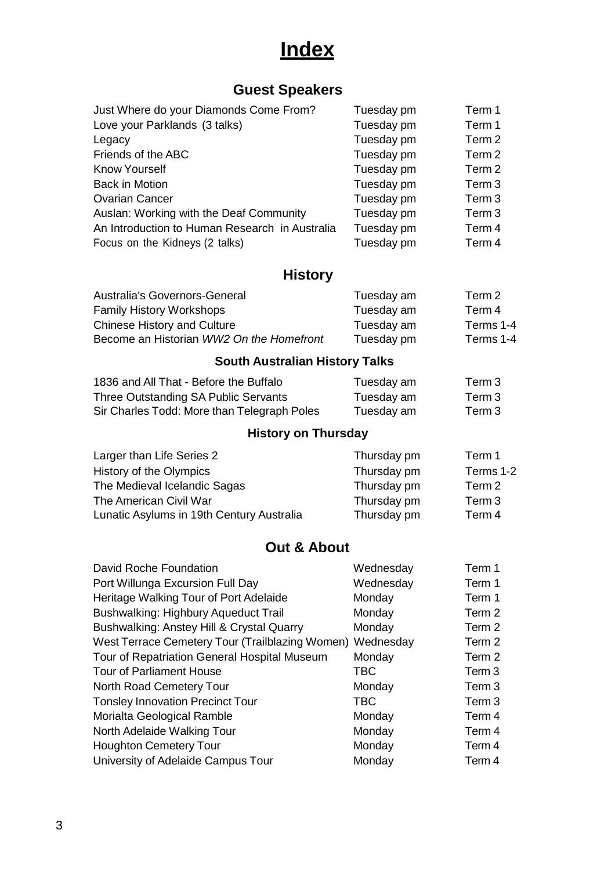# **Index**

## **Guest Speakers**

| Just Where do your Diamonds Come From?         | Tuesday pm | Term 1            |
|------------------------------------------------|------------|-------------------|
| Love your Parklands (3 talks)                  | Tuesday pm | Term 1            |
| Legacy                                         | Tuesday pm | Term 2            |
| Friends of the ABC                             | Tuesday pm | Term <sub>2</sub> |
| <b>Know Yourself</b>                           | Tuesday pm | Term <sub>2</sub> |
| <b>Back in Motion</b>                          | Tuesday pm | Term <sub>3</sub> |
| <b>Ovarian Cancer</b>                          | Tuesday pm | Term <sub>3</sub> |
| Auslan: Working with the Deaf Community        | Tuesday pm | Term <sub>3</sub> |
| An Introduction to Human Research in Australia | Tuesday pm | Term 4            |
| Focus on the Kidneys (2 talks)                 | Tuesday pm | Term 4            |

## **History**

| Australia's Governors-General            | Tuesday am | Term 2    |
|------------------------------------------|------------|-----------|
| <b>Family History Workshops</b>          | Tuesday am | Term 4    |
| <b>Chinese History and Culture</b>       | Tuesday am | Terms 1-4 |
| Become an Historian WW2 On the Homefront | Tuesday pm | Terms 1-4 |

## **South Australian History Talks**

| 1836 and All That - Before the Buffalo      | Tuesday am | Term 3 |
|---------------------------------------------|------------|--------|
| Three Outstanding SA Public Servants        | Tuesday am | Term 3 |
| Sir Charles Todd: More than Telegraph Poles | Tuesday am | Term 3 |

## **History on Thursday**

| Larger than Life Series 2                 | Thursday pm | Term 1    |
|-------------------------------------------|-------------|-----------|
| History of the Olympics                   | Thursday pm | Terms 1-2 |
| The Medieval Icelandic Sagas              | Thursday pm | Term 2    |
| The American Civil War                    | Thursday pm | Term 3    |
| Lunatic Asylums in 19th Century Australia | Thursday pm | Term 4    |

## **Out & About**

| David Roche Foundation                                    | Wednesday  | Term 1            |
|-----------------------------------------------------------|------------|-------------------|
| Port Willunga Excursion Full Day                          | Wednesday  | Term 1            |
| Heritage Walking Tour of Port Adelaide                    | Monday     | Term 1            |
| Bushwalking: Highbury Aqueduct Trail                      | Monday     | Term 2            |
| Bushwalking: Anstey Hill & Crystal Quarry                 | Monday     | Term 2            |
| West Terrace Cemetery Tour (Trailblazing Women) Wednesday |            | Term 2            |
| Tour of Repatriation General Hospital Museum              | Monday     | Term 2            |
| <b>Tour of Parliament House</b>                           | <b>TBC</b> | Term 3            |
| North Road Cemetery Tour                                  | Monday     | Term <sub>3</sub> |
| <b>Tonsley Innovation Precinct Tour</b>                   | <b>TBC</b> | Term <sub>3</sub> |
| Morialta Geological Ramble                                | Monday     | Term 4            |
| North Adelaide Walking Tour                               | Monday     | Term 4            |
| <b>Houghton Cemetery Tour</b>                             | Monday     | Term 4            |
| University of Adelaide Campus Tour                        | Monday     | Term 4            |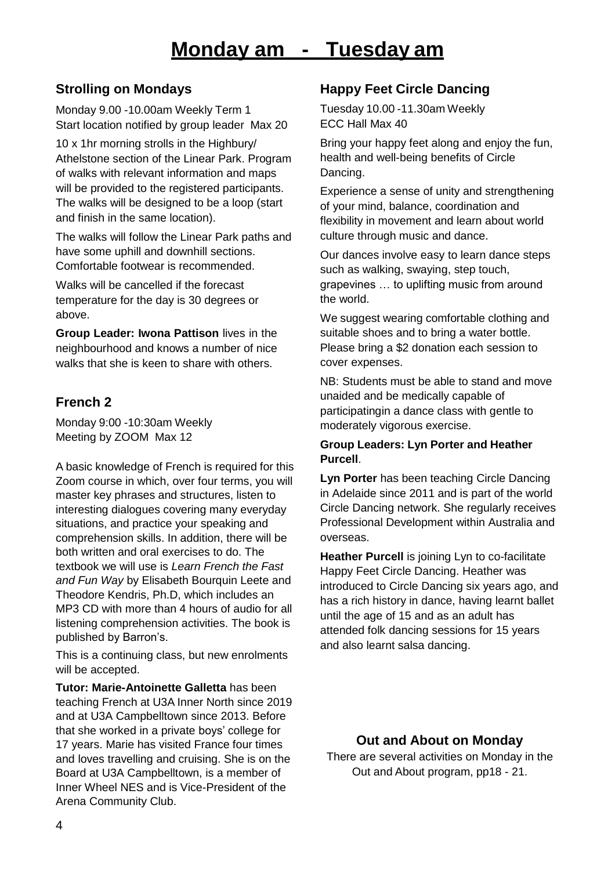### **Strolling on Mondays**

Monday 9.00 -10.00am Weekly Term 1 Start location notified by group leader Max 20

10 x 1hr morning strolls in the Highbury/ Athelstone section of the Linear Park. Program of walks with relevant information and maps will be provided to the registered participants. The walks will be designed to be a loop (start and finish in the same location).

The walks will follow the Linear Park paths and have some uphill and downhill sections. Comfortable footwear is recommended.

Walks will be cancelled if the forecast temperature for the day is 30 degrees or above.

**Group Leader: Iwona Pattison** lives in the neighbourhood and knows a number of nice walks that she is keen to share with others.

## **French 2**

Monday 9:00 -10:30am Weekly Meeting by ZOOM Max 12

A basic knowledge of French is required for this Zoom course in which, over four terms, you will master key phrases and structures, listen to interesting dialogues covering many everyday situations, and practice your speaking and comprehension skills. In addition, there will be both written and oral exercises to do. The textbook we will use is *Learn French the Fast and Fun Way* by Elisabeth Bourquin Leete and Theodore Kendris, Ph.D, which includes an MP3 CD with more than 4 hours of audio for all listening comprehension activities. The book is published by Barron's.

This is a continuing class, but new enrolments will be accepted.

**Tutor: Marie-Antoinette Galletta** has been teaching French at U3A Inner North since 2019 and at U3A Campbelltown since 2013. Before that she worked in a private boys' college for 17 years. Marie has visited France four times and loves travelling and cruising. She is on the Board at U3A Campbelltown, is a member of Inner Wheel NES and is Vice-President of the Arena Community Club.

## **Happy Feet Circle Dancing**

Tuesday 10.00 -11.30am Weekly ECC Hall Max 40

Bring your happy feet along and enjoy the fun, health and well-being benefits of Circle Dancing.

Experience a sense of unity and strengthening of your mind, balance, coordination and flexibility in movement and learn about world culture through music and dance.

Our dances involve easy to learn dance steps such as walking, swaying, step touch, grapevines … to uplifting music from around the world.

We suggest wearing comfortable clothing and suitable shoes and to bring a water bottle. Please bring a \$2 donation each session to cover expenses.

NB: Students must be able to stand and move unaided and be medically capable of participatingin a dance class with gentle to moderately vigorous exercise.

#### **Group Leaders: Lyn Porter and Heather Purcell**.

**Lyn Porter** has been teaching Circle Dancing in Adelaide since 2011 and is part of the world Circle Dancing network. She regularly receives Professional Development within Australia and overseas.

**Heather Purcell** is joining Lyn to co-facilitate Happy Feet Circle Dancing. Heather was introduced to Circle Dancing six years ago, and has a rich history in dance, having learnt ballet until the age of 15 and as an adult has attended folk dancing sessions for 15 years and also learnt salsa dancing.

### **Out and About on Monday**

There are several activities on Monday in the Out and About program, pp18 - 21.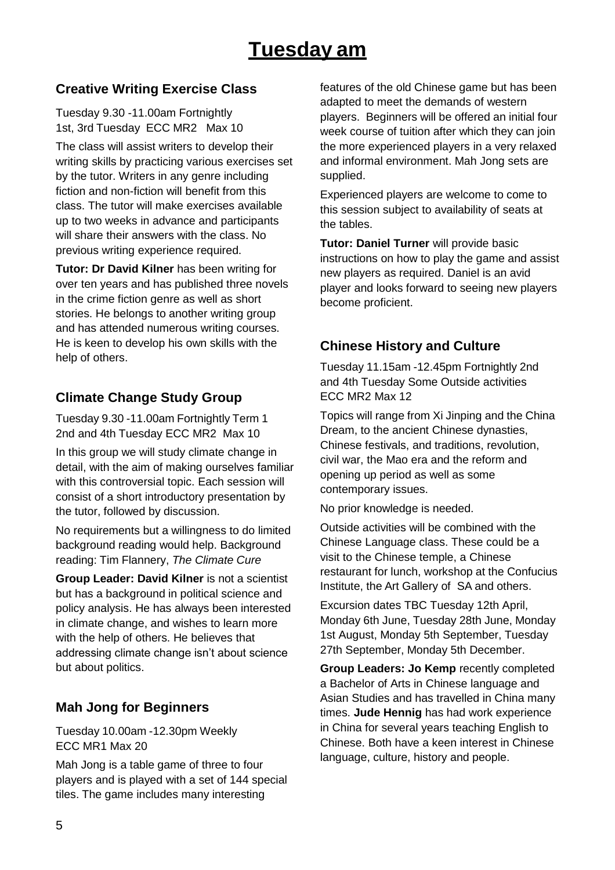## **Creative Writing Exercise Class**

Tuesday 9.30 -11.00am Fortnightly 1st, 3rd Tuesday ECC MR2 Max 10

The class will assist writers to develop their writing skills by practicing various exercises set by the tutor. Writers in any genre including fiction and non-fiction will benefit from this class. The tutor will make exercises available up to two weeks in advance and participants will share their answers with the class. No previous writing experience required.

**Tutor: Dr David Kilner** has been writing for over ten years and has published three novels in the crime fiction genre as well as short stories. He belongs to another writing group and has attended numerous writing courses. He is keen to develop his own skills with the help of others.

## **Climate Change Study Group**

Tuesday 9.30 -11.00am Fortnightly Term 1 2nd and 4th Tuesday ECC MR2 Max 10

In this group we will study climate change in detail, with the aim of making ourselves familiar with this controversial topic. Each session will consist of a short introductory presentation by the tutor, followed by discussion.

No requirements but a willingness to do limited background reading would help. Background reading: Tim Flannery, *The Climate Cure*

**Group Leader: David Kilner** is not a scientist but has a background in political science and policy analysis. He has always been interested in climate change, and wishes to learn more with the help of others. He believes that addressing climate change isn't about science but about politics.

### **Mah Jong for Beginners**

Tuesday 10.00am -12.30pm Weekly ECC MR1 Max 20

Mah Jong is a table game of three to four players and is played with a set of 144 special tiles. The game includes many interesting

features of the old Chinese game but has been adapted to meet the demands of western players. Beginners will be offered an initial four week course of tuition after which they can join the more experienced players in a very relaxed and informal environment. Mah Jong sets are supplied.

Experienced players are welcome to come to this session subject to availability of seats at the tables.

**Tutor: Daniel Turner** will provide basic instructions on how to play the game and assist new players as required. Daniel is an avid player and looks forward to seeing new players become proficient.

### **Chinese History and Culture**

Tuesday 11.15am -12.45pm Fortnightly 2nd and 4th Tuesday Some Outside activities ECC MR2 Max 12

Topics will range from Xi Jinping and the China Dream, to the ancient Chinese dynasties, Chinese festivals, and traditions, revolution, civil war, the Mao era and the reform and opening up period as well as some contemporary issues.

No prior knowledge is needed.

Outside activities will be combined with the Chinese Language class. These could be a visit to the Chinese temple, a Chinese restaurant for lunch, workshop at the Confucius Institute, the Art Gallery of SA and others.

Excursion dates TBC Tuesday 12th April, Monday 6th June, Tuesday 28th June, Monday 1st August, Monday 5th September, Tuesday 27th September, Monday 5th December.

**Group Leaders: Jo Kemp** recently completed a Bachelor of Arts in Chinese language and Asian Studies and has travelled in China many times. **Jude Hennig** has had work experience in China for several years teaching English to Chinese. Both have a keen interest in Chinese language, culture, history and people.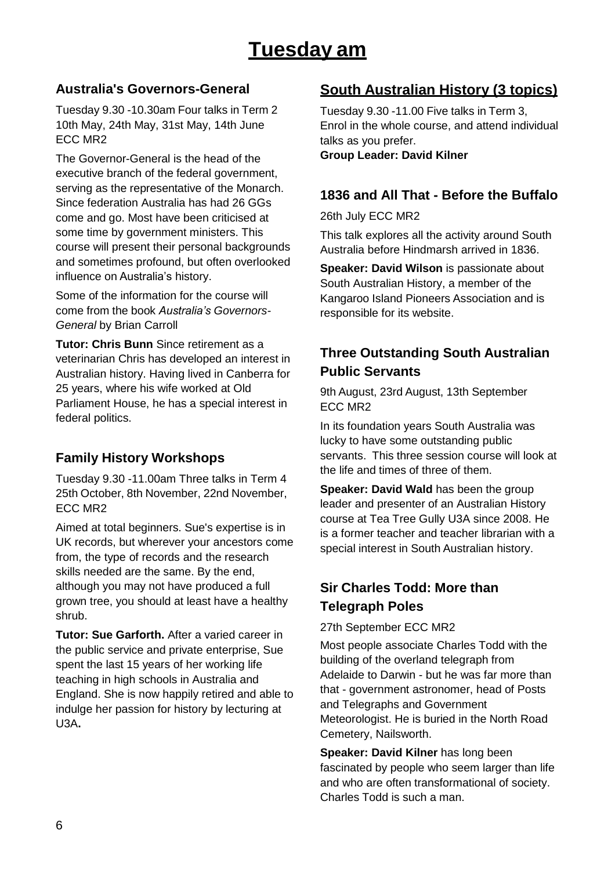# **Tuesday am**

### **Australia's Governors-General**

Tuesday 9.30 -10.30am Four talks in Term 2 10th May, 24th May, 31st May, 14th June ECC MR2

The Governor-General is the head of the executive branch of the federal government, serving as the representative of the Monarch. Since federation Australia has had 26 GGs come and go. Most have been criticised at some time by government ministers. This course will present their personal backgrounds and sometimes profound, but often overlooked influence on Australia's history.

Some of the information for the course will come from the book *Australia's Governors-General* by Brian Carroll

**Tutor: Chris Bunn** Since retirement as a veterinarian Chris has developed an interest in Australian history. Having lived in Canberra for 25 years, where his wife worked at Old Parliament House, he has a special interest in federal politics.

### **Family History Workshops**

Tuesday 9.30 -11.00am Three talks in Term 4 25th October, 8th November, 22nd November, ECC MR2

Aimed at total beginners. Sue's expertise is in UK records, but wherever your ancestors come from, the type of records and the research skills needed are the same. By the end, although you may not have produced a full grown tree, you should at least have a healthy shrub.

**Tutor: Sue Garforth.** After a varied career in the public service and private enterprise, Sue spent the last 15 years of her working life teaching in high schools in Australia and England. She is now happily retired and able to indulge her passion for history by lecturing at U3A**.**

## **South Australian History (3 topics)**

Tuesday 9.30 -11.00 Five talks in Term 3, Enrol in the whole course, and attend individual talks as you prefer. **Group Leader: David Kilner**

### **1836 and All That - Before the Buffalo**

26th July ECC MR2

This talk explores all the activity around South Australia before Hindmarsh arrived in 1836.

**Speaker: David Wilson is passionate about** South Australian History, a member of the Kangaroo Island Pioneers Association and is responsible for its website.

## **Three Outstanding South Australian Public Servants**

9th August, 23rd August, 13th September ECC MR2

In its foundation years South Australia was lucky to have some outstanding public servants. This three session course will look at the life and times of three of them.

**Speaker: David Wald** has been the group leader and presenter of an Australian History course at Tea Tree Gully U3A since 2008. He is a former teacher and teacher librarian with a special interest in South Australian history.

### **Sir Charles Todd: More than Telegraph Poles**

27th September ECC MR2

Most people associate Charles Todd with the building of the overland telegraph from Adelaide to Darwin - but he was far more than that - government astronomer, head of Posts and Telegraphs and Government Meteorologist. He is buried in the North Road Cemetery, Nailsworth.

**Speaker: David Kilner** has long been fascinated by people who seem larger than life and who are often transformational of society. Charles Todd is such a man.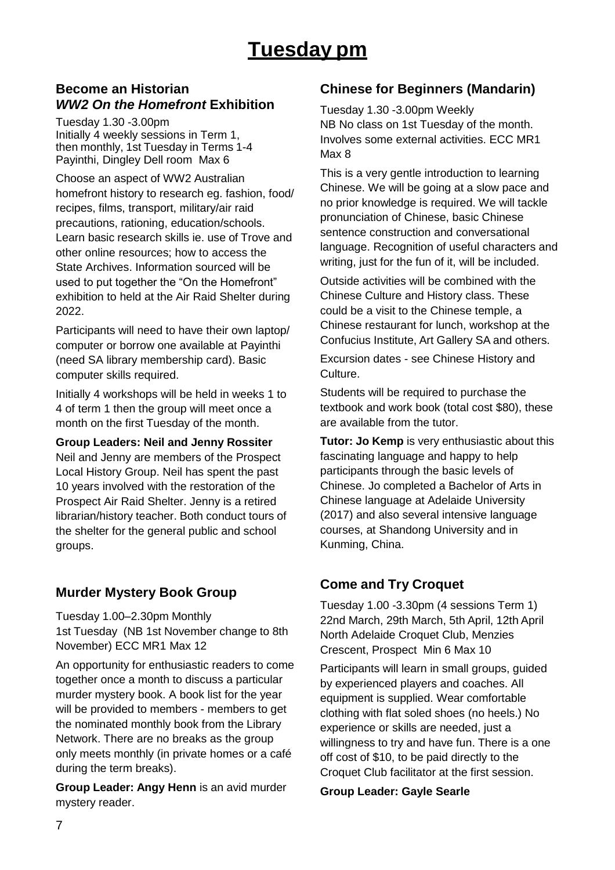### **Become an Historian** *WW2 On the Homefront* **Exhibition**

Tuesday 1.30 -3.00pm Initially 4 weekly sessions in Term 1, then monthly, 1st Tuesday in Terms 1-4 Payinthi, Dingley Dell room Max 6

Choose an aspect of WW2 Australian homefront history to research eg. fashion, food/ recipes, films, transport, military/air raid precautions, rationing, education/schools. Learn basic research skills ie. use of Trove and other online resources; how to access the State Archives. Information sourced will be used to put together the "On the Homefront" exhibition to held at the Air Raid Shelter during 2022.

Participants will need to have their own laptop/ computer or borrow one available at Payinthi (need SA library membership card). Basic computer skills required.

Initially 4 workshops will be held in weeks 1 to 4 of term 1 then the group will meet once a month on the first Tuesday of the month.

**Group Leaders: Neil and Jenny Rossiter** Neil and Jenny are members of the Prospect Local History Group. Neil has spent the past 10 years involved with the restoration of the Prospect Air Raid Shelter. Jenny is a retired librarian/history teacher. Both conduct tours of the shelter for the general public and school groups.

### **Murder Mystery Book Group**

Tuesday 1.00–2.30pm Monthly 1st Tuesday (NB 1st November change to 8th November) ECC MR1 Max 12

An opportunity for enthusiastic readers to come together once a month to discuss a particular murder mystery book. A book list for the year will be provided to members - members to get the nominated monthly book from the Library Network. There are no breaks as the group only meets monthly (in private homes or a café during the term breaks).

**Group Leader: Angy Henn** is an avid murder mystery reader.

### **Chinese for Beginners (Mandarin)**

Tuesday 1.30 -3.00pm Weekly NB No class on 1st Tuesday of the month. Involves some external activities. ECC MR1 Max 8

This is a very gentle introduction to learning Chinese. We will be going at a slow pace and no prior knowledge is required. We will tackle pronunciation of Chinese, basic Chinese sentence construction and conversational language. Recognition of useful characters and writing, just for the fun of it, will be included.

Outside activities will be combined with the Chinese Culture and History class. These could be a visit to the Chinese temple, a Chinese restaurant for lunch, workshop at the Confucius Institute, Art Gallery SA and others.

Excursion dates - see Chinese History and Culture.

Students will be required to purchase the textbook and work book (total cost \$80), these are available from the tutor.

**Tutor: Jo Kemp** is very enthusiastic about this fascinating language and happy to help participants through the basic levels of Chinese. Jo completed a Bachelor of Arts in Chinese language at Adelaide University (2017) and also several intensive language courses, at Shandong University and in Kunming, China.

## **Come and Try Croquet**

Tuesday 1.00 -3.30pm (4 sessions Term 1) 22nd March, 29th March, 5th April, 12th April North Adelaide Croquet Club, Menzies Crescent, Prospect Min 6 Max 10

Participants will learn in small groups, guided by experienced players and coaches. All equipment is supplied. Wear comfortable clothing with flat soled shoes (no heels.) No experience or skills are needed, just a willingness to try and have fun. There is a one off cost of \$10, to be paid directly to the Croquet Club facilitator at the first session.

**Group Leader: Gayle Searle**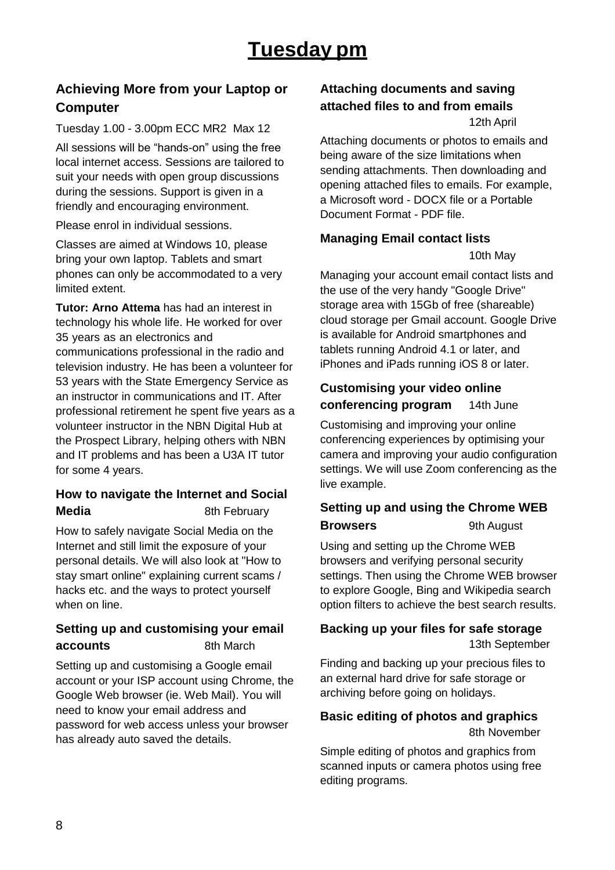## **Achieving More from your Laptop or Computer**

Tuesday 1.00 - 3.00pm ECC MR2 Max 12 All sessions will be "hands-on" using the free local internet access. Sessions are tailored to suit your needs with open group discussions during the sessions. Support is given in a friendly and encouraging environment.

Please enrol in individual sessions.

Classes are aimed at Windows 10, please bring your own laptop. Tablets and smart phones can only be accommodated to a very limited extent.

**Tutor: Arno Attema** has had an interest in technology his whole life. He worked for over 35 years as an electronics and communications professional in the radio and television industry. He has been a volunteer for 53 years with the State Emergency Service as an instructor in communications and IT. After professional retirement he spent five years as a volunteer instructor in the NBN Digital Hub at the Prospect Library, helping others with NBN and IT problems and has been a U3A IT tutor for some 4 years.

### **How to navigate the Internet and Social Media** 8th February

How to safely navigate Social Media on the Internet and still limit the exposure of your personal details. We will also look at "How to stay smart online" explaining current scams / hacks etc. and the ways to protect yourself when on line.

#### **Setting up and customising your email accounts** 8th March

Setting up and customising a Google email account or your ISP account using Chrome, the Google Web browser (ie. Web Mail). You will need to know your email address and password for web access unless your browser has already auto saved the details.

#### **Attaching documents and saving attached files to and from emails** 12th April

Attaching documents or photos to emails and being aware of the size limitations when sending attachments. Then downloading and opening attached files to emails. For example, a Microsoft word - DOCX file or a Portable Document Format - PDF file.

### **Managing Email contact lists**

10th May

Managing your account email contact lists and the use of the very handy "Google Drive" storage area with 15Gb of free (shareable) cloud storage per Gmail account. Google Drive is available for Android smartphones and tablets running Android 4.1 or later, and iPhones and iPads running iOS 8 or later.

### **Customising your video online conferencing program** 14th June

Customising and improving your online conferencing experiences by optimising your camera and improving your audio configuration settings. We will use Zoom conferencing as the live example.

### **Setting up and using the Chrome WEB Browsers** 9th August

Using and setting up the Chrome WEB browsers and verifying personal security settings. Then using the Chrome WEB browser to explore Google, Bing and Wikipedia search option filters to achieve the best search results.

#### **Backing up your files for safe storage** 13th September

Finding and backing up your precious files to an external hard drive for safe storage or archiving before going on holidays.

### **Basic editing of photos and graphics** 8th November

Simple editing of photos and graphics from scanned inputs or camera photos using free editing programs.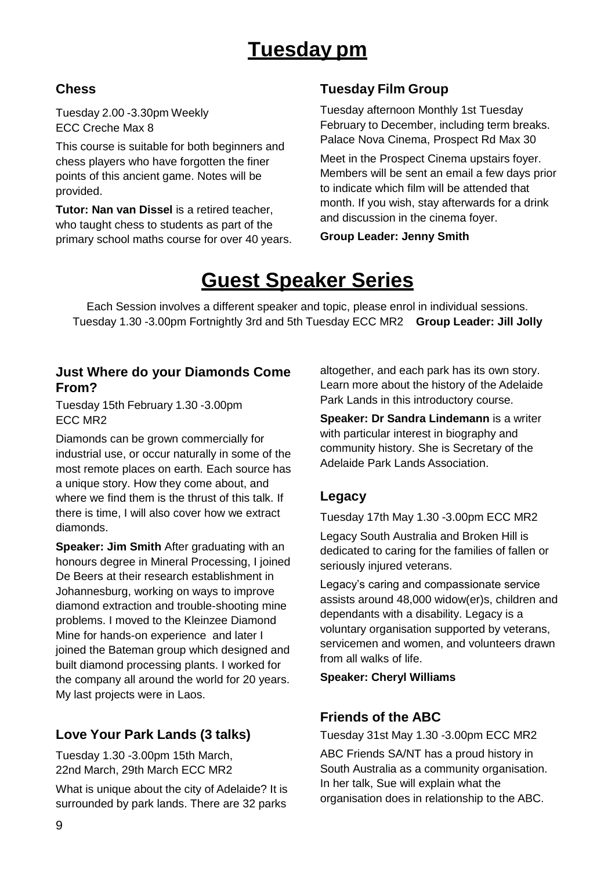# **Tuesday pm**

### **Chess**

Tuesday 2.00 -3.30pm Weekly ECC Creche Max 8

This course is suitable for both beginners and chess players who have forgotten the finer points of this ancient game. Notes will be provided.

**Tutor: Nan van Dissel** is a retired teacher, who taught chess to students as part of the primary school maths course for over 40 years.

## **Tuesday Film Group**

Tuesday afternoon Monthly 1st Tuesday February to December, including term breaks. Palace Nova Cinema, Prospect Rd Max 30

Meet in the Prospect Cinema upstairs foyer. Members will be sent an email a few days prior to indicate which film will be attended that month. If you wish, stay afterwards for a drink and discussion in the cinema foyer.

**Group Leader: Jenny Smith**

# **Guest Speaker Series**

Each Session involves a different speaker and topic, please enrol in individual sessions. Tuesday 1.30 -3.00pm Fortnightly 3rd and 5th Tuesday ECC MR2 **Group Leader: Jill Jolly**

### **Just Where do your Diamonds Come From?**

Tuesday 15th February 1.30 -3.00pm ECC MR2

Diamonds can be grown commercially for industrial use, or occur naturally in some of the most remote places on earth. Each source has a unique story. How they come about, and where we find them is the thrust of this talk. If there is time, I will also cover how we extract diamonds.

**Speaker: Jim Smith** After graduating with an honours degree in Mineral Processing, I joined De Beers at their research establishment in Johannesburg, working on ways to improve diamond extraction and trouble-shooting mine problems. I moved to the Kleinzee Diamond Mine for hands-on experience and later I joined the Bateman group which designed and built diamond processing plants. I worked for the company all around the world for 20 years. My last projects were in Laos.

## **Love Your Park Lands (3 talks)**

Tuesday 1.30 -3.00pm 15th March, 22nd March, 29th March ECC MR2

What is unique about the city of Adelaide? It is surrounded by park lands. There are 32 parks

altogether, and each park has its own story. Learn more about the history of the Adelaide Park Lands in this introductory course.

**Speaker: Dr Sandra Lindemann** is a writer with particular interest in biography and community history. She is Secretary of the Adelaide Park Lands Association.

### **Legacy**

Tuesday 17th May 1.30 -3.00pm ECC MR2

Legacy South Australia and Broken Hill is dedicated to caring for the families of fallen or seriously injured veterans.

Legacy's caring and compassionate service assists around 48,000 widow(er)s, children and dependants with a disability. Legacy is a voluntary organisation supported by veterans, servicemen and women, and volunteers drawn from all walks of life.

**Speaker: Cheryl Williams**

### **Friends of the ABC**

Tuesday 31st May 1.30 -3.00pm ECC MR2

ABC Friends SA/NT has a proud history in South Australia as a community organisation. In her talk, Sue will explain what the organisation does in relationship to the ABC.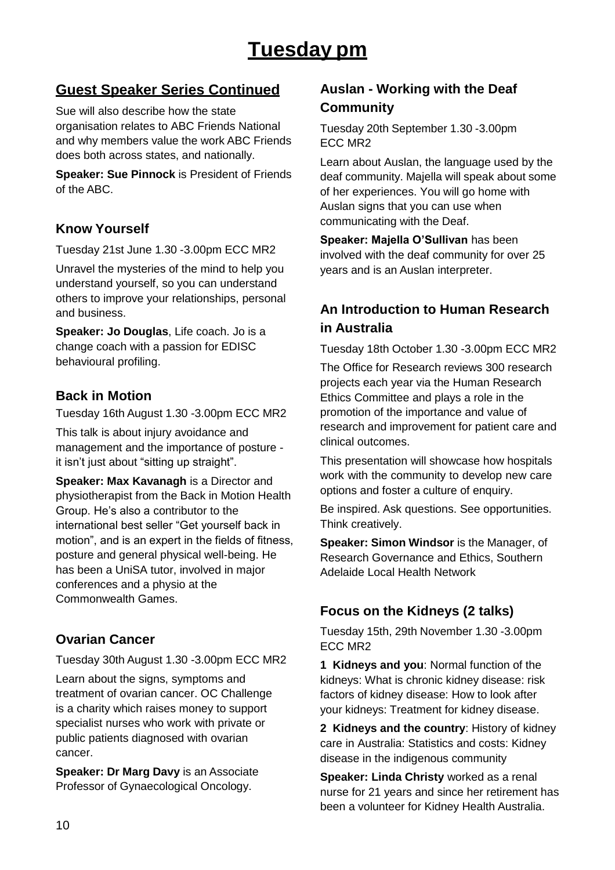## **Guest Speaker Series Continued**

Sue will also describe how the state organisation relates to ABC Friends National and why members value the work ABC Friends does both across states, and nationally.

**Speaker: Sue Pinnock** is President of Friends of the ABC.

### **Know Yourself**

Tuesday 21st June 1.30 -3.00pm ECC MR2

Unravel the mysteries of the mind to help you understand yourself, so you can understand others to improve your relationships, personal and business.

**Speaker: Jo Douglas**, Life coach. Jo is a change coach with a passion for EDISC behavioural profiling.

### **Back in Motion**

Tuesday 16th August 1.30 -3.00pm ECC MR2

This talk is about injury avoidance and management and the importance of posture it isn't just about "sitting up straight".

**Speaker: Max Kavanagh is a Director and** physiotherapist from the Back in Motion Health Group. He's also a contributor to the international best seller "Get yourself back in motion", and is an expert in the fields of fitness, posture and general physical well-being. He has been a UniSA tutor, involved in major conferences and a physio at the Commonwealth Games.

## **Ovarian Cancer**

Tuesday 30th August 1.30 -3.00pm ECC MR2

Learn about the signs, symptoms and treatment of ovarian cancer. OC Challenge is a charity which raises money to support specialist nurses who work with private or public patients diagnosed with ovarian cancer.

**Speaker: Dr Marg Davy** is an Associate Professor of Gynaecological Oncology.

## **Auslan - Working with the Deaf Community**

Tuesday 20th September 1.30 -3.00pm ECC MR2

Learn about Auslan, the language used by the deaf community. Majella will speak about some of her experiences. You will go home with Auslan signs that you can use when communicating with the Deaf.

**Speaker: Majella O'Sullivan** has been involved with the deaf community for over 25 years and is an Auslan interpreter.

## **An Introduction to Human Research in Australia**

Tuesday 18th October 1.30 -3.00pm ECC MR2

The Office for Research reviews 300 research projects each year via the Human Research Ethics Committee and plays a role in the promotion of the importance and value of research and improvement for patient care and clinical outcomes.

This presentation will showcase how hospitals work with the community to develop new care options and foster a culture of enquiry.

Be inspired. Ask questions. See opportunities. Think creatively.

**Speaker: Simon Windsor** is the Manager, of Research Governance and Ethics, Southern Adelaide Local Health Network

## **Focus on the Kidneys (2 talks)**

Tuesday 15th, 29th November 1.30 -3.00pm ECC MR2

**1 Kidneys and you**: Normal function of the kidneys: What is chronic kidney disease: risk factors of kidney disease: How to look after your kidneys: Treatment for kidney disease.

**2 Kidneys and the country**: History of kidney care in Australia: Statistics and costs: Kidney disease in the indigenous community

**Speaker: Linda Christy** worked as a renal nurse for 21 years and since her retirement has been a volunteer for Kidney Health Australia.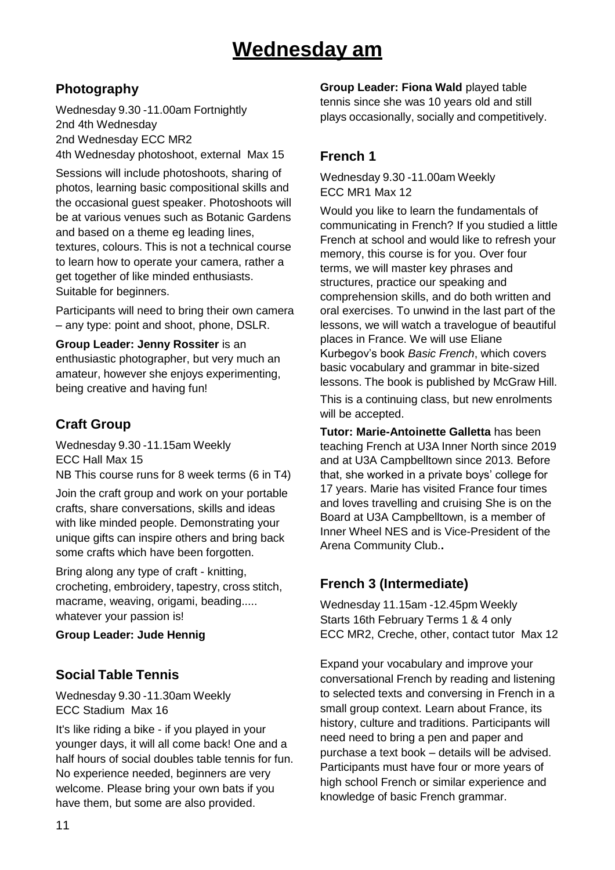# **Wednesday am**

## **Photography**

Wednesday 9.30 -11.00am Fortnightly 2nd 4th Wednesday 2nd Wednesday ECC MR2 4th Wednesday photoshoot, external Max 15

Sessions will include photoshoots, sharing of photos, learning basic compositional skills and the occasional guest speaker. Photoshoots will be at various venues such as Botanic Gardens and based on a theme eg leading lines, textures, colours. This is not a technical course to learn how to operate your camera, rather a get together of like minded enthusiasts. Suitable for beginners.

Participants will need to bring their own camera – any type: point and shoot, phone, DSLR.

**Group Leader: Jenny Rossiter** is an enthusiastic photographer, but very much an amateur, however she enjoys experimenting, being creative and having fun!

## **Craft Group**

Wednesday 9.30 -11.15am Weekly ECC Hall Max 15 NB This course runs for 8 week terms (6 in T4)

Join the craft group and work on your portable crafts, share conversations, skills and ideas with like minded people. Demonstrating your unique gifts can inspire others and bring back some crafts which have been forgotten.

Bring along any type of craft - knitting, crocheting, embroidery, tapestry, cross stitch, macrame, weaving, origami, beading..... whatever your passion is!

**Group Leader: Jude Hennig**

## **Social Table Tennis**

Wednesday 9.30 -11.30am Weekly ECC Stadium Max 16

It's like riding a bike - if you played in your younger days, it will all come back! One and a half hours of social doubles table tennis for fun. No experience needed, beginners are very welcome. Please bring your own bats if you have them, but some are also provided.

**Group Leader: Fiona Wald** played table tennis since she was 10 years old and still plays occasionally, socially and competitively.

### **French 1**

Wednesday 9.30 -11.00am Weekly ECC MR1 Max 12

Would you like to learn the fundamentals of communicating in French? If you studied a little French at school and would like to refresh your memory, this course is for you. Over four terms, we will master key phrases and structures, practice our speaking and comprehension skills, and do both written and oral exercises. To unwind in the last part of the lessons, we will watch a travelogue of beautiful places in France. We will use Eliane Kurbegov's book *Basic French*, which covers basic vocabulary and grammar in bite-sized lessons. The book is published by McGraw Hill.

This is a continuing class, but new enrolments will be accepted.

**Tutor: Marie-Antoinette Galletta** has been teaching French at U3A Inner North since 2019 and at U3A Campbelltown since 2013. Before that, she worked in a private boys' college for 17 years. Marie has visited France four times and loves travelling and cruising She is on the Board at U3A Campbelltown, is a member of Inner Wheel NES and is Vice-President of the Arena Community Club.**.**

## **French 3 (Intermediate)**

Wednesday 11.15am -12.45pm Weekly Starts 16th February Terms 1 & 4 only ECC MR2, Creche, other, contact tutor Max 12

Expand your vocabulary and improve your conversational French by reading and listening to selected texts and conversing in French in a small group context. Learn about France, its history, culture and traditions. Participants will need need to bring a pen and paper and purchase a text book – details will be advised. Participants must have four or more years of high school French or similar experience and knowledge of basic French grammar.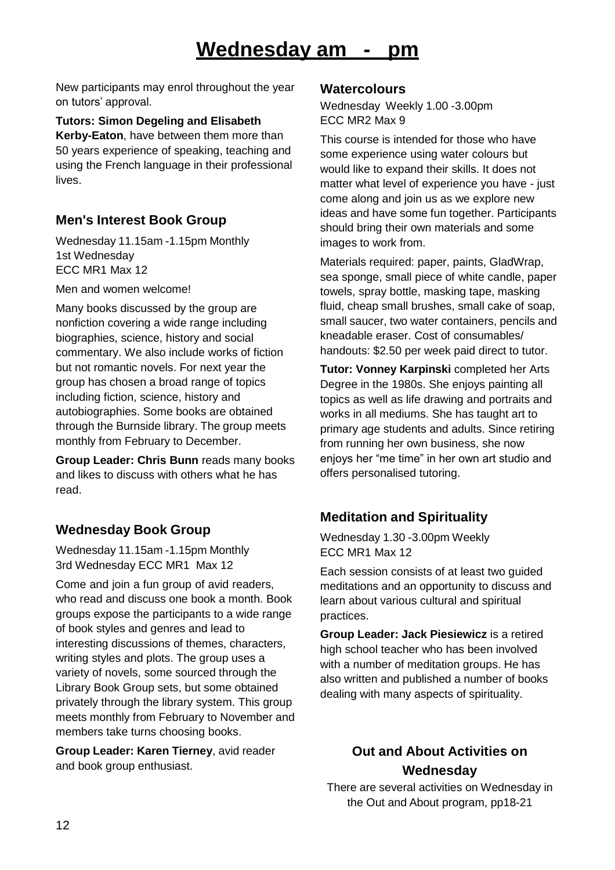# **Wednesday am - pm**

New participants may enrol throughout the year on tutors' approval.

**Tutors: Simon Degeling and Elisabeth Kerby-Eaton**, have between them more than 50 years experience of speaking, teaching and using the French language in their professional lives.

### **Men's Interest Book Group**

Wednesday 11.15am -1.15pm Monthly 1st Wednesday ECC MR1 Max 12

Men and women welcome!

Many books discussed by the group are nonfiction covering a wide range including biographies, science, history and social commentary. We also include works of fiction but not romantic novels. For next year the group has chosen a broad range of topics including fiction, science, history and autobiographies. Some books are obtained through the Burnside library. The group meets monthly from February to December.

**Group Leader: Chris Bunn** reads many books and likes to discuss with others what he has read.

### **Wednesday Book Group**

Wednesday 11.15am -1.15pm Monthly 3rd Wednesday ECC MR1 Max 12

Come and join a fun group of avid readers, who read and discuss one book a month. Book groups expose the participants to a wide range of book styles and genres and lead to interesting discussions of themes, characters, writing styles and plots. The group uses a variety of novels, some sourced through the Library Book Group sets, but some obtained privately through the library system. This group meets monthly from February to November and members take turns choosing books.

**Group Leader: Karen Tierney**, avid reader and book group enthusiast.

#### **Watercolours**

Wednesday Weekly 1.00 -3.00pm ECC MR2 Max 9

This course is intended for those who have some experience using water colours but would like to expand their skills. It does not matter what level of experience you have - just come along and join us as we explore new ideas and have some fun together. Participants should bring their own materials and some images to work from.

Materials required: paper, paints, GladWrap, sea sponge, small piece of white candle, paper towels, spray bottle, masking tape, masking fluid, cheap small brushes, small cake of soap, small saucer, two water containers, pencils and kneadable eraser. Cost of consumables/ handouts: \$2.50 per week paid direct to tutor.

**Tutor: Vonney Karpinski** completed her Arts Degree in the 1980s. She enjoys painting all topics as well as life drawing and portraits and works in all mediums. She has taught art to primary age students and adults. Since retiring from running her own business, she now enjoys her "me time" in her own art studio and offers personalised tutoring.

## **Meditation and Spirituality**

Wednesday 1.30 -3.00pm Weekly ECC MR1 Max 12

Each session consists of at least two guided meditations and an opportunity to discuss and learn about various cultural and spiritual practices.

**Group Leader: Jack Piesiewicz** is a retired high school teacher who has been involved with a number of meditation groups. He has also written and published a number of books dealing with many aspects of spirituality.

## **Out and About Activities on Wednesday**

There are several activities on Wednesday in the Out and About program, pp18-21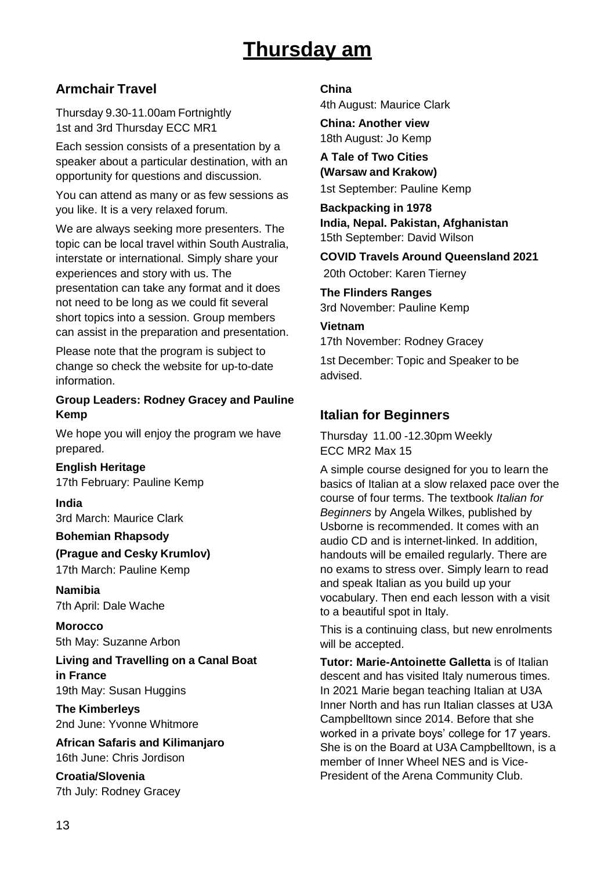# **Thursday am**

### **Armchair Travel**

Thursday 9.30-11.00am Fortnightly 1st and 3rd Thursday ECC MR1

Each session consists of a presentation by a speaker about a particular destination, with an opportunity for questions and discussion.

You can attend as many or as few sessions as you like. It is a very relaxed forum.

We are always seeking more presenters. The topic can be local travel within South Australia, interstate or international. Simply share your experiences and story with us. The presentation can take any format and it does not need to be long as we could fit several short topics into a session. Group members can assist in the preparation and presentation.

Please note that the program is subject to change so check the website for up-to-date information.

#### **Group Leaders: Rodney Gracey and Pauline Kemp**

We hope you will enjoy the program we have prepared.

**English Heritage**

17th February: Pauline Kemp

**India** 3rd March: Maurice Clark

#### **Bohemian Rhapsody**

**(Prague and Cesky Krumlov)**

17th March: Pauline Kemp

**Namibia** 7th April: Dale Wache

**Morocco** 5th May: Suzanne Arbon

**Living and Travelling on a Canal Boat in France** 19th May: Susan Huggins

**The Kimberleys** 2nd June: Yvonne Whitmore

**African Safaris and Kilimanjaro** 16th June: Chris Jordison

**Croatia/Slovenia** 7th July: Rodney Gracey

#### **China**

4th August: Maurice Clark

**China: Another view** 18th August: Jo Kemp

**A Tale of Two Cities (Warsaw and Krakow)** 1st September: Pauline Kemp

**Backpacking in 1978 India, Nepal. Pakistan, Afghanistan** 15th September: David Wilson

## **COVID Travels Around Queensland 2021**

20th October: Karen Tierney

**The Flinders Ranges** 3rd November: Pauline Kemp

#### **Vietnam**

17th November: Rodney Gracey

1st December: Topic and Speaker to be advised.

### **Italian for Beginners**

Thursday 11.00 -12.30pm Weekly ECC MR2 Max 15

A simple course designed for you to learn the basics of Italian at a slow relaxed pace over the course of four terms. The textbook *Italian for Beginners* by Angela Wilkes, published by Usborne is recommended. It comes with an audio CD and is internet-linked. In addition, handouts will be emailed regularly. There are no exams to stress over. Simply learn to read and speak Italian as you build up your vocabulary. Then end each lesson with a visit to a beautiful spot in Italy.

This is a continuing class, but new enrolments will be accepted.

**Tutor: Marie-Antoinette Galletta** is of Italian descent and has visited Italy numerous times. In 2021 Marie began teaching Italian at U3A Inner North and has run Italian classes at U3A Campbelltown since 2014. Before that she worked in a private boys' college for 17 years. She is on the Board at U3A Campbelltown, is a member of Inner Wheel NES and is Vice-President of the Arena Community Club.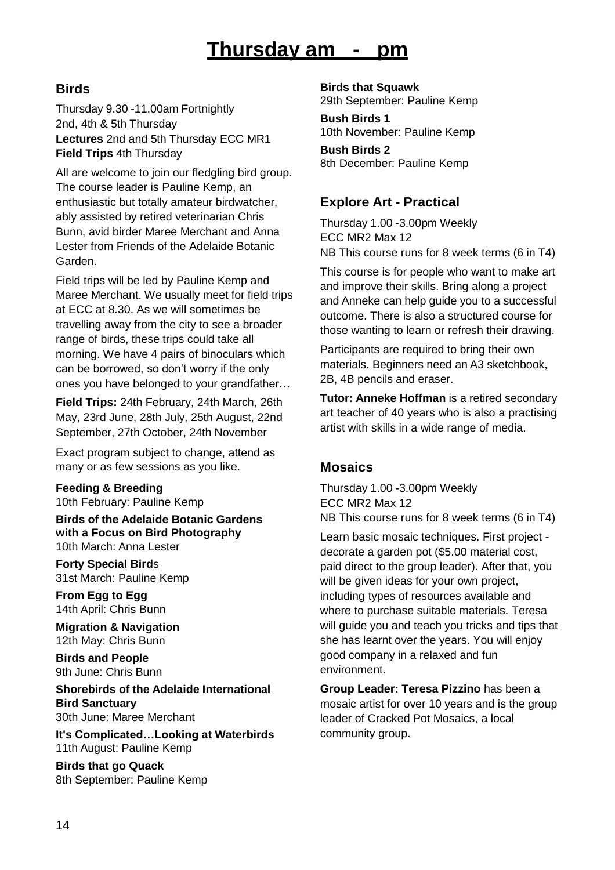# **Thursday am - pm**

### **Birds**

Thursday 9.30 -11.00am Fortnightly 2nd, 4th & 5th Thursday **Lectures** 2nd and 5th Thursday ECC MR1 **Field Trips** 4th Thursday

All are welcome to join our fledgling bird group. The course leader is Pauline Kemp, an enthusiastic but totally amateur birdwatcher, ably assisted by retired veterinarian Chris Bunn, avid birder Maree Merchant and Anna Lester from Friends of the Adelaide Botanic Garden.

Field trips will be led by Pauline Kemp and Maree Merchant. We usually meet for field trips at ECC at 8.30. As we will sometimes be travelling away from the city to see a broader range of birds, these trips could take all morning. We have 4 pairs of binoculars which can be borrowed, so don't worry if the only ones you have belonged to your grandfather…

**Field Trips:** 24th February, 24th March, 26th May, 23rd June, 28th July, 25th August, 22nd September, 27th October, 24th November

Exact program subject to change, attend as many or as few sessions as you like.

**Feeding & Breeding** 10th February: Pauline Kemp

**Birds of the Adelaide Botanic Gardens with a Focus on Bird Photography** 10th March: Anna Lester

**Forty Special Bird**s 31st March: Pauline Kemp

**From Egg to Egg** 14th April: Chris Bunn

**Migration & Navigation** 12th May: Chris Bunn

**Birds and People** 9th June: Chris Bunn

**Shorebirds of the Adelaide International Bird Sanctuary** 30th June: Maree Merchant

**It's Complicated…Looking at Waterbirds** 11th August: Pauline Kemp

**Birds that go Quack** 8th September: Pauline Kemp **Birds that Squawk** 29th September: Pauline Kemp

**Bush Birds 1** 10th November: Pauline Kemp

**Bush Birds 2** 8th December: Pauline Kemp

### **Explore Art - Practical**

Thursday 1.00 -3.00pm Weekly ECC MR2 Max 12 NB This course runs for 8 week terms (6 in T4)

This course is for people who want to make art and improve their skills. Bring along a project and Anneke can help guide you to a successful outcome. There is also a structured course for those wanting to learn or refresh their drawing.

Participants are required to bring their own materials. Beginners need an A3 sketchbook, 2B, 4B pencils and eraser.

**Tutor: Anneke Hoffman** is a retired secondary art teacher of 40 years who is also a practising artist with skills in a wide range of media.

### **Mosaics**

Thursday 1.00 -3.00pm Weekly ECC MR2 Max 12 NB This course runs for 8 week terms (6 in T4)

Learn basic mosaic techniques. First project decorate a garden pot (\$5.00 material cost, paid direct to the group leader). After that, you will be given ideas for your own project, including types of resources available and where to purchase suitable materials. Teresa will guide you and teach you tricks and tips that she has learnt over the years. You will enjoy good company in a relaxed and fun environment.

**Group Leader: Teresa Pizzino** has been a mosaic artist for over 10 years and is the group leader of Cracked Pot Mosaics, a local community group.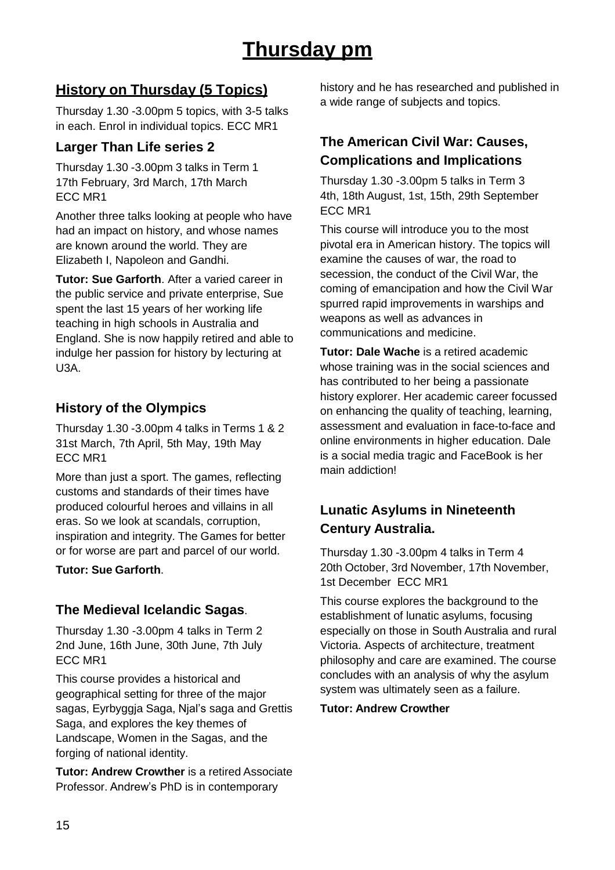## **History on Thursday (5 Topics)**

Thursday 1.30 -3.00pm 5 topics, with 3-5 talks in each. Enrol in individual topics. ECC MR1

### **Larger Than Life series 2**

Thursday 1.30 -3.00pm 3 talks in Term 1 17th February, 3rd March, 17th March ECC MR1

Another three talks looking at people who have had an impact on history, and whose names are known around the world. They are Elizabeth I, Napoleon and Gandhi.

**Tutor: Sue Garforth**. After a varied career in the public service and private enterprise, Sue spent the last 15 years of her working life teaching in high schools in Australia and England. She is now happily retired and able to indulge her passion for history by lecturing at U3A.

### **History of the Olympics**

Thursday 1.30 -3.00pm 4 talks in Terms 1 & 2 31st March, 7th April, 5th May, 19th May ECC MR1

More than just a sport. The games, reflecting customs and standards of their times have produced colourful heroes and villains in all eras. So we look at scandals, corruption, inspiration and integrity. The Games for better or for worse are part and parcel of our world.

#### **Tutor: Sue Garforth**.

### **The Medieval Icelandic Sagas**.

Thursday 1.30 -3.00pm 4 talks in Term 2 2nd June, 16th June, 30th June, 7th July ECC MR1

This course provides a historical and geographical setting for three of the major sagas, Eyrbyggja Saga, Njal's saga and Grettis Saga, and explores the key themes of Landscape, Women in the Sagas, and the forging of national identity.

**Tutor: Andrew Crowther** is a retired Associate Professor. Andrew's PhD is in contemporary

history and he has researched and published in a wide range of subjects and topics.

## **The American Civil War: Causes, Complications and Implications**

Thursday 1.30 -3.00pm 5 talks in Term 3 4th, 18th August, 1st, 15th, 29th September ECC MR1

This course will introduce you to the most pivotal era in American history. The topics will examine the causes of war, the road to secession, the conduct of the Civil War, the coming of emancipation and how the Civil War spurred rapid improvements in warships and weapons as well as advances in communications and medicine.

**Tutor: Dale Wache** is a retired academic whose training was in the social sciences and has contributed to her being a passionate history explorer. Her academic career focussed on enhancing the quality of teaching, learning, assessment and evaluation in face-to-face and online environments in higher education. Dale is a social media tragic and FaceBook is her main addiction!

## **Lunatic Asylums in Nineteenth Century Australia.**

Thursday 1.30 -3.00pm 4 talks in Term 4 20th October, 3rd November, 17th November, 1st December ECC MR1

This course explores the background to the establishment of lunatic asylums, focusing especially on those in South Australia and rural Victoria. Aspects of architecture, treatment philosophy and care are examined. The course concludes with an analysis of why the asylum system was ultimately seen as a failure.

#### **Tutor: Andrew Crowther**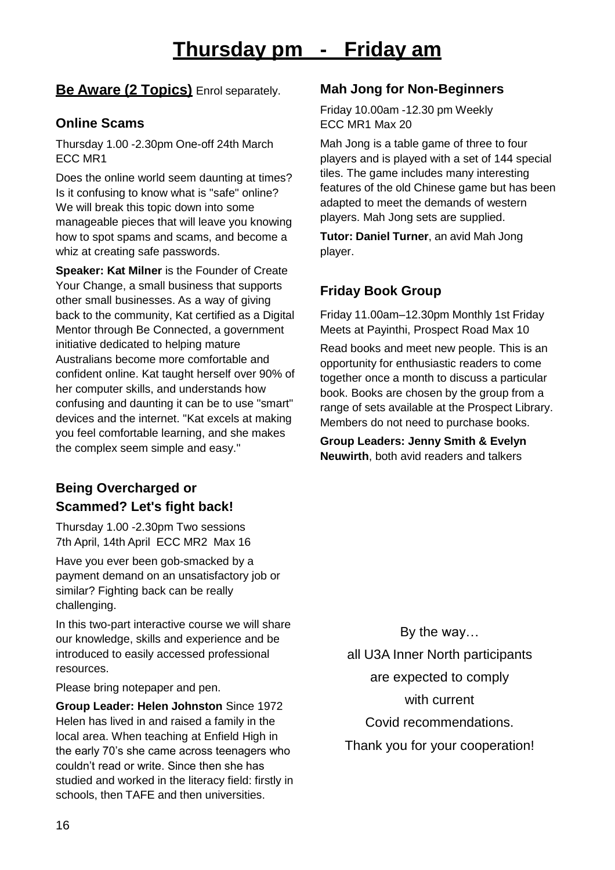### **Be Aware (2 Topics)** Enrol separately.

### **Online Scams**

Thursday 1.00 -2.30pm One-off 24th March ECC MR1

Does the online world seem daunting at times? Is it confusing to know what is "safe" online? We will break this topic down into some manageable pieces that will leave you knowing how to spot spams and scams, and become a whiz at creating safe passwords.

**Speaker: Kat Milner** is the Founder of Create Your Change, a small business that supports other small businesses. As a way of giving back to the community, Kat certified as a Digital Mentor through Be Connected, a government initiative dedicated to helping mature Australians become more comfortable and confident online. Kat taught herself over 90% of her computer skills, and understands how confusing and daunting it can be to use "smart" devices and the internet. "Kat excels at making you feel comfortable learning, and she makes the complex seem simple and easy."

## **Being Overcharged or Scammed? Let's fight back!**

Thursday 1.00 -2.30pm Two sessions 7th April, 14th April ECC MR2 Max 16

Have you ever been gob-smacked by a payment demand on an unsatisfactory job or similar? Fighting back can be really challenging.

In this two-part interactive course we will share our knowledge, skills and experience and be introduced to easily accessed professional resources.

Please bring notepaper and pen.

**Group Leader: Helen Johnston** Since 1972 Helen has lived in and raised a family in the local area. When teaching at Enfield High in the early 70's she came across teenagers who couldn't read or write. Since then she has studied and worked in the literacy field: firstly in schools, then TAFE and then universities.

### **Mah Jong for Non-Beginners**

Friday 10.00am -12.30 pm Weekly ECC MR1 Max 20

Mah Jong is a table game of three to four players and is played with a set of 144 special tiles. The game includes many interesting features of the old Chinese game but has been adapted to meet the demands of western players. Mah Jong sets are supplied.

**Tutor: Daniel Turner**, an avid Mah Jong player.

### **Friday Book Group**

Friday 11.00am–12.30pm Monthly 1st Friday Meets at Payinthi, Prospect Road Max 10

Read books and meet new people. This is an opportunity for enthusiastic readers to come together once a month to discuss a particular book. Books are chosen by the group from a range of sets available at the Prospect Library. Members do not need to purchase books.

**Group Leaders: Jenny Smith & Evelyn Neuwirth**, both avid readers and talkers

> By the way… all U3A Inner North participants are expected to comply with current Covid recommendations.

Thank you for your cooperation!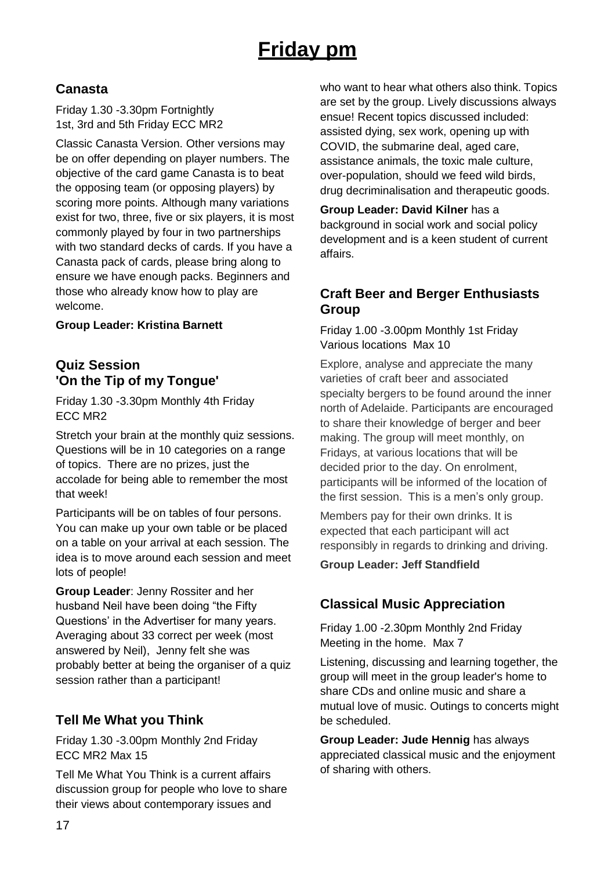# **Friday pm**

### **Canasta**

Friday 1.30 -3.30pm Fortnightly 1st, 3rd and 5th Friday ECC MR2

Classic Canasta Version. Other versions may be on offer depending on player numbers. The objective of the card game Canasta is to beat the opposing team (or opposing players) by scoring more points. Although many variations exist for two, three, five or six players, it is most commonly played by four in two partnerships with two standard decks of cards. If you have a Canasta pack of cards, please bring along to ensure we have enough packs. Beginners and those who already know how to play are welcome.

**Group Leader: Kristina Barnett**

### **Quiz Session 'On the Tip of my Tongue'**

Friday 1.30 -3.30pm Monthly 4th Friday ECC MR2

Stretch your brain at the monthly quiz sessions. Questions will be in 10 categories on a range of topics. There are no prizes, just the accolade for being able to remember the most that week!

Participants will be on tables of four persons. You can make up your own table or be placed on a table on your arrival at each session. The idea is to move around each session and meet lots of people!

**Group Leader**: Jenny Rossiter and her husband Neil have been doing "the Fifty Questions' in the Advertiser for many years. Averaging about 33 correct per week (most answered by Neil), Jenny felt she was probably better at being the organiser of a quiz session rather than a participant!

### **Tell Me What you Think**

Friday 1.30 -3.00pm Monthly 2nd Friday ECC MR2 Max 15

Tell Me What You Think is a current affairs discussion group for people who love to share their views about contemporary issues and

who want to hear what others also think. Topics are set by the group. Lively discussions always ensue! Recent topics discussed included: assisted dying, sex work, opening up with COVID, the submarine deal, aged care, assistance animals, the toxic male culture, over-population, should we feed wild birds, drug decriminalisation and therapeutic goods.

**Group Leader: David Kilner** has a background in social work and social policy development and is a keen student of current affairs.

### **Craft Beer and Berger Enthusiasts Group**

Friday 1.00 -3.00pm Monthly 1st Friday Various locations Max 10

Explore, analyse and appreciate the many varieties of craft beer and associated specialty bergers to be found around the inner north of Adelaide. Participants are encouraged to share their knowledge of berger and beer making. The group will meet monthly, on Fridays, at various locations that will be decided prior to the day. On enrolment, participants will be informed of the location of the first session. This is a men's only group.

Members pay for their own drinks. It is expected that each participant will act responsibly in regards to drinking and driving.

#### **Group Leader: Jeff Standfield**

### **Classical Music Appreciation**

Friday 1.00 -2.30pm Monthly 2nd Friday Meeting in the home. Max 7

Listening, discussing and learning together, the group will meet in the group leader's home to share CDs and online music and share a mutual love of music. Outings to concerts might be scheduled.

**Group Leader: Jude Hennig** has always appreciated classical music and the enjoyment of sharing with others.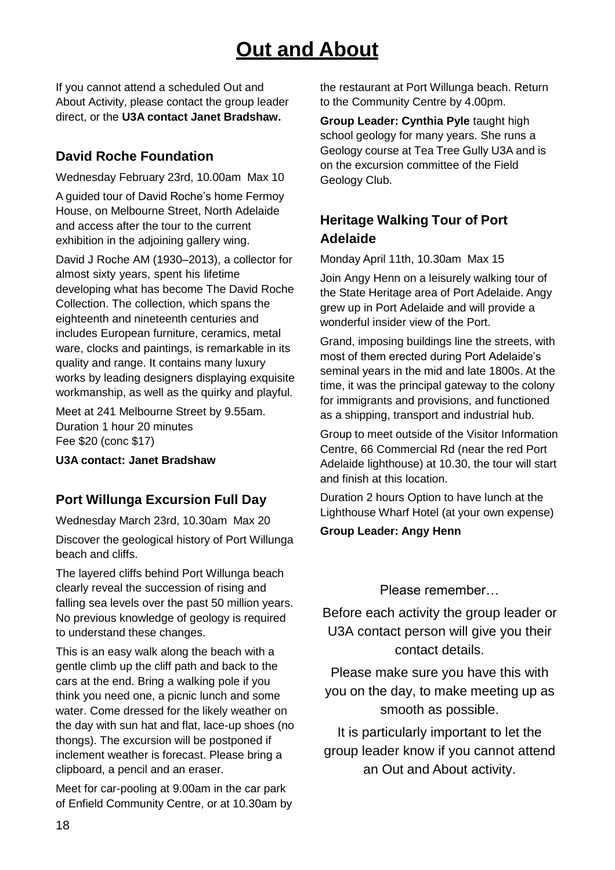# **Out and About**

If you cannot attend a scheduled Out and About Activity, please contact the group leader direct, or the **U3A contact Janet Bradshaw.**

### **David Roche Foundation**

Wednesday February 23rd, 10.00am Max 10

A guided tour of David Roche's home Fermoy House, on Melbourne Street, North Adelaide and access after the tour to the current exhibition in the adjoining gallery wing.

David J Roche AM (1930–2013), a collector for almost sixty years, spent his lifetime developing what has become The David Roche Collection. The collection, which spans the eighteenth and nineteenth centuries and includes European furniture, ceramics, metal ware, clocks and paintings, is remarkable in its quality and range. It contains many luxury works by leading designers displaying exquisite workmanship, as well as the quirky and playful.

Meet at 241 Melbourne Street by 9.55am. Duration 1 hour 20 minutes Fee \$20 (conc \$17)

**U3A contact: Janet Bradshaw**

### **Port Willunga Excursion Full Day**

Wednesday March 23rd, 10.30am Max 20

Discover the geological history of Port Willunga beach and cliffs.

The layered cliffs behind Port Willunga beach clearly reveal the succession of rising and falling sea levels over the past 50 million years. No previous knowledge of geology is required to understand these changes.

This is an easy walk along the beach with a gentle climb up the cliff path and back to the cars at the end. Bring a walking pole if you think you need one, a picnic lunch and some water. Come dressed for the likely weather on the day with sun hat and flat, lace-up shoes (no thongs). The excursion will be postponed if inclement weather is forecast. Please bring a clipboard, a pencil and an eraser.

Meet for car-pooling at 9.00am in the car park of Enfield Community Centre, or at 10.30am by the restaurant at Port Willunga beach. Return to the Community Centre by 4.00pm.

**Group Leader: Cynthia Pyle** taught high school geology for many years. She runs a Geology course at Tea Tree Gully U3A and is on the excursion committee of the Field Geology Club.

## **Heritage Walking Tour of Port Adelaide**

Monday April 11th, 10.30am Max 15

Join Angy Henn on a leisurely walking tour of the State Heritage area of Port Adelaide. Angy grew up in Port Adelaide and will provide a wonderful insider view of the Port.

Grand, imposing buildings line the streets, with most of them erected during Port Adelaide's seminal years in the mid and late 1800s. At the time, it was the principal gateway to the colony for immigrants and provisions, and functioned as a shipping, transport and industrial hub.

Group to meet outside of the Visitor Information Centre, 66 Commercial Rd (near the red Port Adelaide lighthouse) at 10.30, the tour will start and finish at this location.

Duration 2 hours Option to have lunch at the Lighthouse Wharf Hotel (at your own expense)

**Group Leader: Angy Henn**

#### Please remember…

Before each activity the group leader or U3A contact person will give you their contact details.

Please make sure you have this with you on the day, to make meeting up as smooth as possible.

It is particularly important to let the group leader know if you cannot attend an Out and About activity.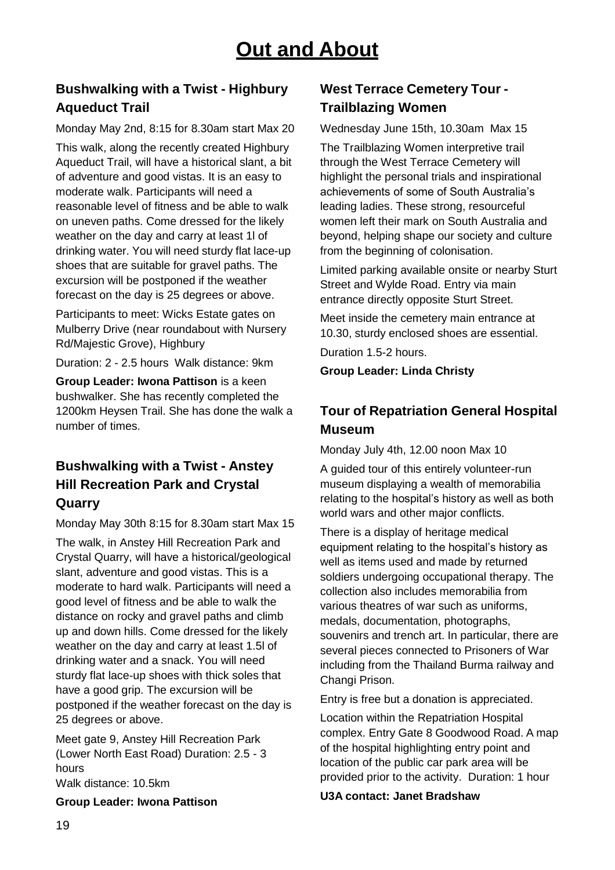## **Bushwalking with a Twist - Highbury Aqueduct Trail**

Monday May 2nd, 8:15 for 8.30am start Max 20 This walk, along the recently created Highbury Aqueduct Trail, will have a historical slant, a bit of adventure and good vistas. It is an easy to moderate walk. Participants will need a reasonable level of fitness and be able to walk on uneven paths. Come dressed for the likely weather on the day and carry at least 1l of drinking water. You will need sturdy flat lace-up shoes that are suitable for gravel paths. The excursion will be postponed if the weather forecast on the day is 25 degrees or above.

Participants to meet: Wicks Estate gates on Mulberry Drive (near roundabout with Nursery Rd/Majestic Grove), Highbury

Duration: 2 - 2.5 hours Walk distance: 9km

**Group Leader: Iwona Pattison** is a keen bushwalker. She has recently completed the 1200km Heysen Trail. She has done the walk a number of times.

## **Bushwalking with a Twist - Anstey Hill Recreation Park and Crystal Quarry**

Monday May 30th 8:15 for 8.30am start Max 15 The walk, in Anstey Hill Recreation Park and Crystal Quarry, will have a historical/geological slant, adventure and good vistas. This is a moderate to hard walk. Participants will need a good level of fitness and be able to walk the distance on rocky and gravel paths and climb up and down hills. Come dressed for the likely weather on the day and carry at least 1.5l of drinking water and a snack. You will need sturdy flat lace-up shoes with thick soles that have a good grip. The excursion will be postponed if the weather forecast on the day is 25 degrees or above.

Meet gate 9, Anstey Hill Recreation Park (Lower North East Road) Duration: 2.5 - 3 hours Walk distance: 10.5km

**Group Leader: Iwona Pattison**

### **West Terrace Cemetery Tour - Trailblazing Women**

Wednesday June 15th, 10.30am Max 15 The Trailblazing Women interpretive trail through the West Terrace Cemetery will highlight the personal trials and inspirational achievements of some of South Australia's leading ladies. These strong, resourceful women left their mark on South Australia and beyond, helping shape our society and culture from the beginning of colonisation.

Limited parking available onsite or nearby Sturt Street and Wylde Road. Entry via main entrance directly opposite Sturt Street.

Meet inside the cemetery main entrance at 10.30, sturdy enclosed shoes are essential.

Duration 1.5-2 hours.

**Group Leader: Linda Christy**

## **Tour of Repatriation General Hospital Museum**

Monday July 4th, 12.00 noon Max 10

A guided tour of this entirely volunteer-run museum displaying a wealth of memorabilia relating to the hospital's history as well as both world wars and other major conflicts.

There is a display of heritage medical equipment relating to the hospital's history as well as items used and made by returned soldiers undergoing occupational therapy. The collection also includes memorabilia from various theatres of war such as uniforms, medals, documentation, photographs, souvenirs and trench art. In particular, there are several pieces connected to Prisoners of War including from the Thailand Burma railway and Changi Prison.

Entry is free but a donation is appreciated.

Location within the Repatriation Hospital complex. Entry Gate 8 Goodwood Road. A map of the hospital highlighting entry point and location of the public car park area will be provided prior to the activity. Duration: 1 hour

**U3A contact: Janet Bradshaw**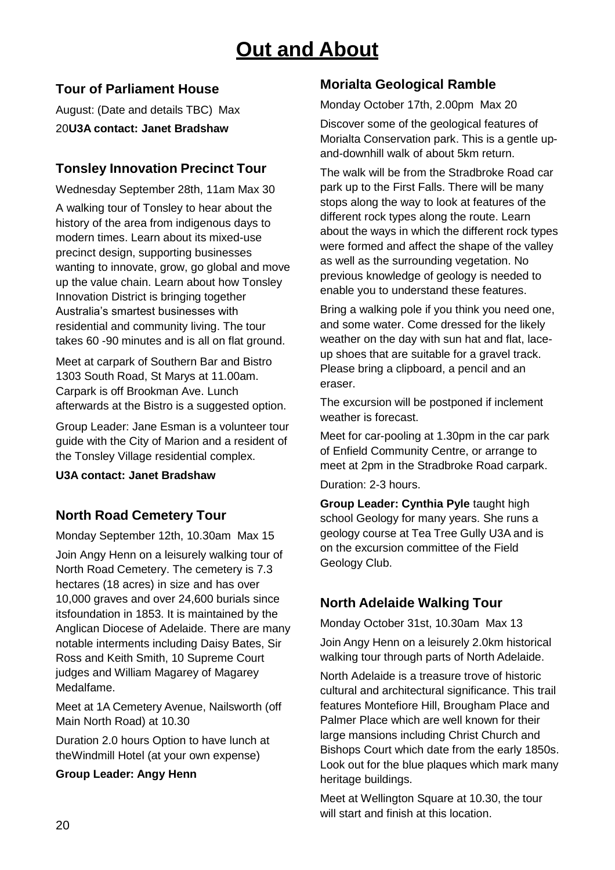# **Out and About**

### **Tour of Parliament House**

August: (Date and details TBC) Max 20**U3A contact: Janet Bradshaw**

### **Tonsley Innovation Precinct Tour**

Wednesday September 28th, 11am Max 30 A walking tour of Tonsley to hear about the history of the area from indigenous days to modern times. Learn about its mixed-use precinct design, supporting businesses wanting to innovate, grow, go global and move up the value chain. Learn about how Tonsley Innovation District is bringing together Australia's smartest businesses with residential and community living. The tour takes 60 -90 minutes and is all on flat ground.

Meet at carpark of Southern Bar and Bistro 1303 South Road, St Marys at 11.00am. Carpark is off Brookman Ave. Lunch afterwards at the Bistro is a suggested option.

Group Leader: Jane Esman is a volunteer tour guide with the City of Marion and a resident of the Tonsley Village residential complex.

**U3A contact: Janet Bradshaw**

### **North Road Cemetery Tour**

Monday September 12th, 10.30am Max 15 Join Angy Henn on a leisurely walking tour of North Road Cemetery. The cemetery is 7.3 hectares (18 acres) in size and has over 10,000 graves and over 24,600 burials since itsfoundation in 1853. It is maintained by the Anglican Diocese of Adelaide. There are many notable interments including Daisy Bates, Sir Ross and Keith Smith, 10 Supreme Court judges and William Magarey of Magarey Medalfame.

Meet at 1A Cemetery Avenue, Nailsworth (off Main North Road) at 10.30

Duration 2.0 hours Option to have lunch at theWindmill Hotel (at your own expense)

#### **Group Leader: Angy Henn**

### **Morialta Geological Ramble**

Monday October 17th, 2.00pm Max 20

Discover some of the geological features of Morialta Conservation park. This is a gentle upand-downhill walk of about 5km return.

The walk will be from the Stradbroke Road car park up to the First Falls. There will be many stops along the way to look at features of the different rock types along the route. Learn about the ways in which the different rock types were formed and affect the shape of the valley as well as the surrounding vegetation. No previous knowledge of geology is needed to enable you to understand these features.

Bring a walking pole if you think you need one, and some water. Come dressed for the likely weather on the day with sun hat and flat, laceup shoes that are suitable for a gravel track. Please bring a clipboard, a pencil and an eraser.

The excursion will be postponed if inclement weather is forecast.

Meet for car-pooling at 1.30pm in the car park of Enfield Community Centre, or arrange to meet at 2pm in the Stradbroke Road carpark.

Duration: 2-3 hours.

**Group Leader: Cynthia Pyle** taught high school Geology for many years. She runs a geology course at Tea Tree Gully U3A and is on the excursion committee of the Field Geology Club.

## **North Adelaide Walking Tour**

Monday October 31st, 10.30am Max 13

Join Angy Henn on a leisurely 2.0km historical walking tour through parts of North Adelaide.

North Adelaide is a treasure trove of historic cultural and architectural significance. This trail features Montefiore Hill, Brougham Place and Palmer Place which are well known for their large mansions including Christ Church and Bishops Court which date from the early 1850s. Look out for the blue plaques which mark many heritage buildings.

Meet at Wellington Square at 10.30, the tour will start and finish at this location.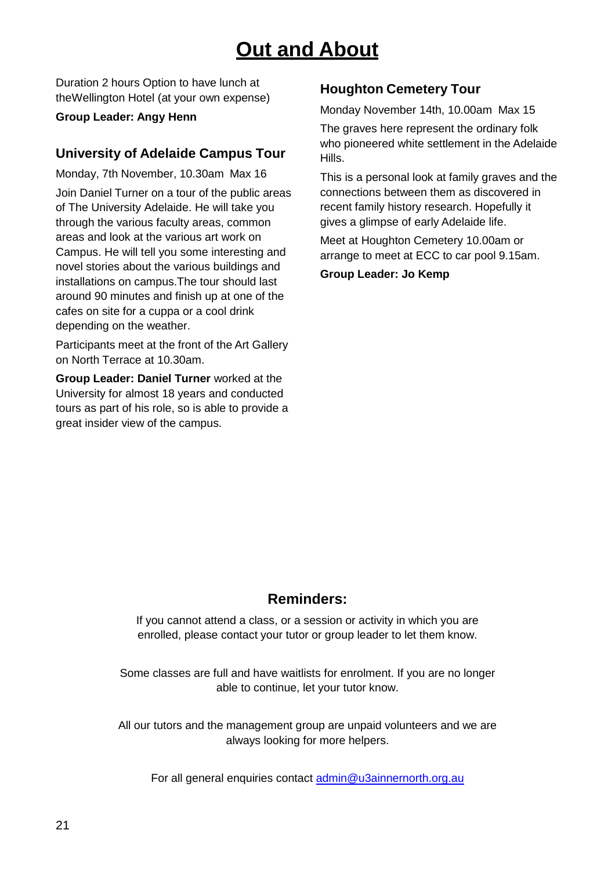# **Out and About**

Duration 2 hours Option to have lunch at theWellington Hotel (at your own expense)

#### **Group Leader: Angy Henn**

### **University of Adelaide Campus Tour**

Monday, 7th November, 10.30am Max 16 Join Daniel Turner on a tour of the public areas of The University Adelaide. He will take you through the various faculty areas, common areas and look at the various art work on Campus. He will tell you some interesting and novel stories about the various buildings and installations on campus.The tour should last around 90 minutes and finish up at one of the cafes on site for a cuppa or a cool drink depending on the weather.

Participants meet at the front of the Art Gallery on North Terrace at 10.30am.

**Group Leader: Daniel Turner** worked at the University for almost 18 years and conducted tours as part of his role, so is able to provide a great insider view of the campus.

### **Houghton Cemetery Tour**

Monday November 14th, 10.00am Max 15

The graves here represent the ordinary folk who pioneered white settlement in the Adelaide Hills.

This is a personal look at family graves and the connections between them as discovered in recent family history research. Hopefully it gives a glimpse of early Adelaide life.

Meet at Houghton Cemetery 10.00am or arrange to meet at ECC to car pool 9.15am.

**Group Leader: Jo Kemp**

## **Reminders:**

If you cannot attend a class, or a session or activity in which you are enrolled, please contact your tutor or group leader to let them know.

Some classes are full and have waitlists for enrolment. If you are no longer able to continue, let your tutor know.

All our tutors and the management group are unpaid volunteers and we are always looking for more helpers.

For all general enquiries contact [admin@u3ainnernorth.org.au](mailto:admin@u3ainnernorth.org.au)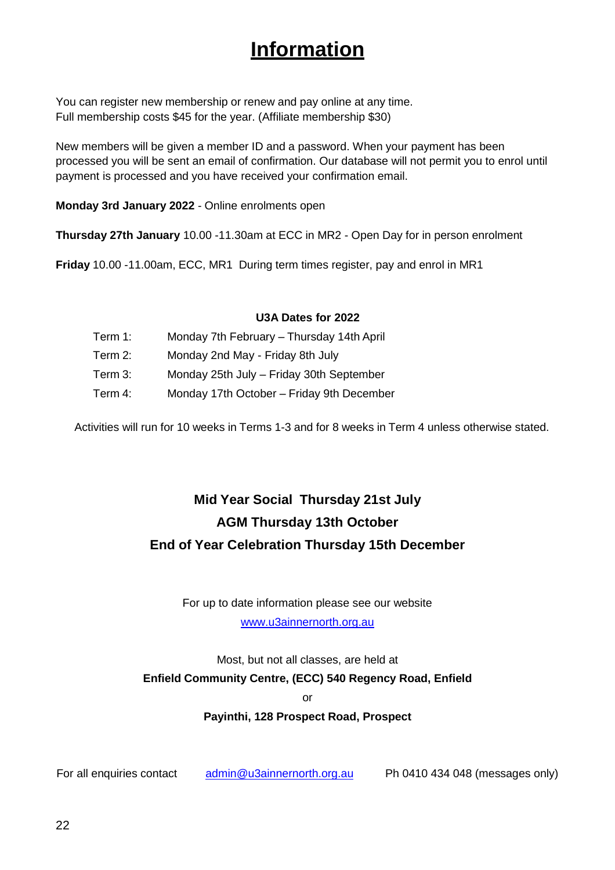# **Information**

You can register new membership or renew and pay online at any time. Full membership costs \$45 for the year. (Affiliate membership \$30)

New members will be given a member ID and a password. When your payment has been processed you will be sent an email of confirmation. Our database will not permit you to enrol until payment is processed and you have received your confirmation email.

**Monday 3rd January 2022** - Online enrolments open

**Thursday 27th January** 10.00 -11.30am at ECC in MR2 - Open Day for in person enrolment

**Friday** 10.00 -11.00am, ECC, MR1 During term times register, pay and enrol in MR1

#### **U3A Dates for 2022**

- Term 1: Monday 7th February Thursday 14th April
- Term 2: Monday 2nd May Friday 8th July
- Term 3: Monday 25th July Friday 30th September
- Term 4: Monday 17th October Friday 9th December

Activities will run for 10 weeks in Terms 1-3 and for 8 weeks in Term 4 unless otherwise stated.

# **Mid Year Social Thursday 21st July AGM Thursday 13th October End of Year Celebration Thursday 15th December**

For up to date information please see our website [www.u3ainnernorth.org.au](http://www.u3ainnernorth.org.au/)

Most, but not all classes, are held at **Enfield Community Centre, (ECC) 540 Regency Road, Enfield**

or

**Payinthi, 128 Prospect Road, Prospect**

For all enquiries contact [admin@u3ainnernorth.org.au](mailto:admin@u3ainnernorth.org.au) Ph 0410 434 048 (messages only)